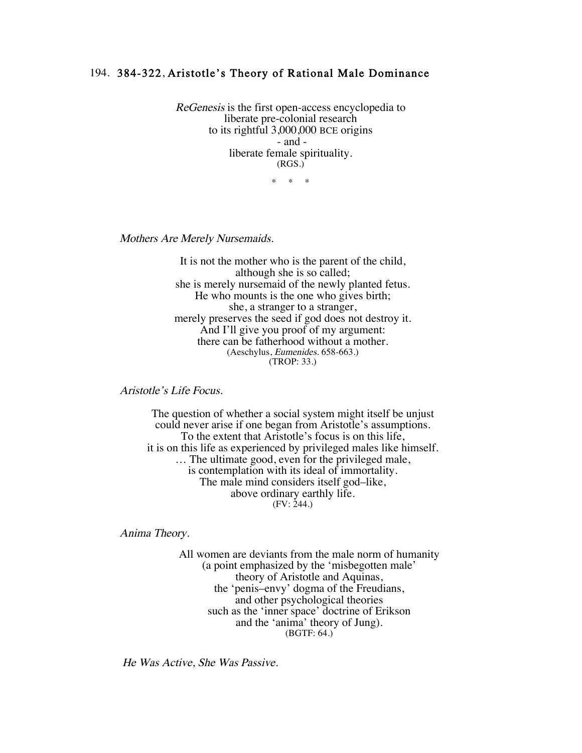## 194. 384-322, Aristotle's Theory of Rational Male Dominance

ReGenesis is the first open-access encyclopedia to liberate pre-colonial research to its rightful 3,000,000 BCE origins - and liberate female spirituality. (RGS.)

\* \* \*

Mothers Are Merely Nursemaids.

It is not the mother who is the parent of the child, although she is so called; she is merely nursemaid of the newly planted fetus. He who mounts is the one who gives birth; she, a stranger to a stranger, merely preserves the seed if god does not destroy it. And I'll give you proof of my argument: there can be fatherhood without a mother. (Aeschylus, Eumenides. 658-663.) (TROP: 33.)

Aristotle's Life Focus.

The question of whether a social system might itself be unjust could never arise if one began from Aristotle's assumptions. To the extent that Aristotle's focus is on this life, it is on this life as experienced by privileged males like himself. … The ultimate good, even for the privileged male, is contemplation with its ideal of immortality. The male mind considers itself god–like, above ordinary earthly life.  $(FV: 244.)$ 

Anima Theory.

All women are deviants from the male norm of humanity (a point emphasized by the 'misbegotten male' theory of Aristotle and Aquinas, the 'penis–envy' dogma of the Freudians, and other psychological theories such as the 'inner space' doctrine of Erikson and the 'anima' theory of Jung). (BGTF: 64.)

He Was Active, She Was Passive.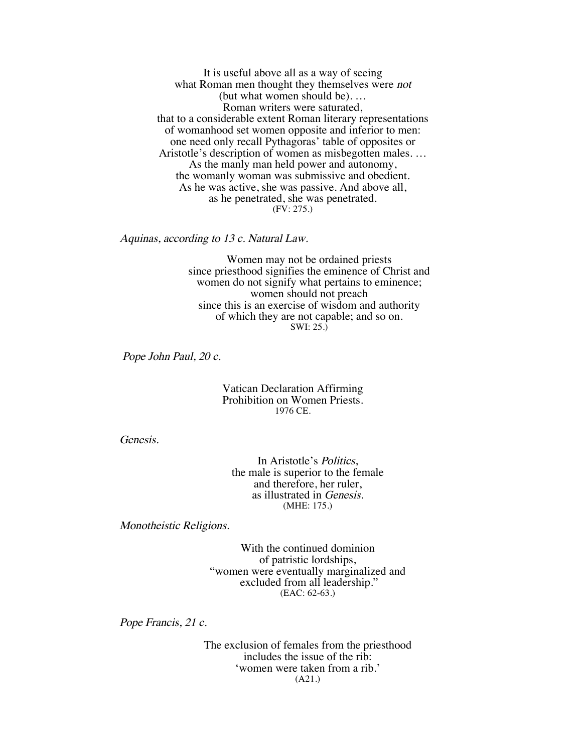It is useful above all as a way of seeing what Roman men thought they themselves were *not* (but what women should be). … Roman writers were saturated, that to a considerable extent Roman literary representations of womanhood set women opposite and inferior to men: one need only recall Pythagoras' table of opposites or Aristotle's description of women as misbegotten males. … As the manly man held power and autonomy, the womanly woman was submissive and obedient. As he was active, she was passive. And above all, as he penetrated, she was penetrated. (FV: 275.)

Aquinas, according to 13 c. Natural Law.

Women may not be ordained priests since priesthood signifies the eminence of Christ and women do not signify what pertains to eminence; women should not preach since this is an exercise of wisdom and authority of which they are not capable; and so on. SWI: 25.)

Pope John Paul, 20 c.

Vatican Declaration Affirming Prohibition on Women Priests. 1976 CE.

Genesis.

In Aristotle's Politics, the male is superior to the female and therefore, her ruler, as illustrated in Genesis. (MHE: 175.)

Monotheistic Religions.

With the continued dominion of patristic lordships, "women were eventually marginalized and excluded from all leadership." (EAC: 62-63.)

Pope Francis, 21 c.

The exclusion of females from the priesthood includes the issue of the rib: 'women were taken from a rib.' (A21.)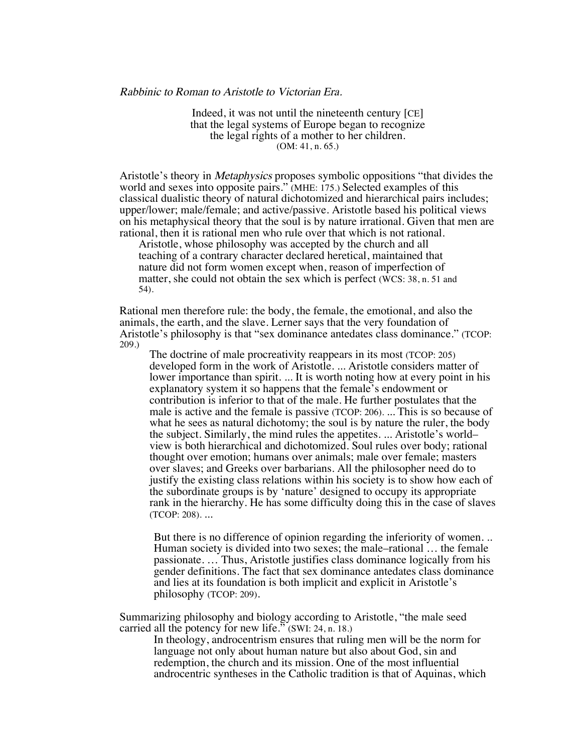Indeed, it was not until the nineteenth century [CE] that the legal systems of Europe began to recognize the legal rights of a mother to her children. (OM: 41, n. 65.)

Aristotle's theory in *Metaphysics* proposes symbolic oppositions "that divides the world and sexes into opposite pairs." (MHE: 175.) Selected examples of this classical dualistic theory of natural dichotomized and hierarchical pairs includes; upper/lower; male/female; and active/passive. Aristotle based his political views on his metaphysical theory that the soul is by nature irrational. Given that men are rational, then it is rational men who rule over that which is not rational.

Aristotle, whose philosophy was accepted by the church and all teaching of a contrary character declared heretical, maintained that nature did not form women except when, reason of imperfection of matter, she could not obtain the sex which is perfect (WCS: 38, n. 51 and 54).

Rational men therefore rule: the body, the female, the emotional, and also the animals, the earth, and the slave. Lerner says that the very foundation of Aristotle's philosophy is that "sex dominance antedates class dominance." (TCOP: 209.)

The doctrine of male procreativity reappears in its most (TCOP: 205) developed form in the work of Aristotle. ... Aristotle considers matter of lower importance than spirit. ... It is worth noting how at every point in his explanatory system it so happens that the female's endowment or contribution is inferior to that of the male. He further postulates that the male is active and the female is passive (TCOP: 206). ... This is so because of what he sees as natural dichotomy; the soul is by nature the ruler, the body the subject. Similarly, the mind rules the appetites. ... Aristotle's world– view is both hierarchical and dichotomized. Soul rules over body; rational thought over emotion; humans over animals; male over female; masters over slaves; and Greeks over barbarians. All the philosopher need do to justify the existing class relations within his society is to show how each of the subordinate groups is by 'nature' designed to occupy its appropriate rank in the hierarchy. He has some difficulty doing this in the case of slaves (TCOP: 208). ...

But there is no difference of opinion regarding the inferiority of women. .. Human society is divided into two sexes; the male–rational … the female passionate. … Thus, Aristotle justifies class dominance logically from his gender definitions. The fact that sex dominance antedates class dominance and lies at its foundation is both implicit and explicit in Aristotle's philosophy (TCOP: 209).

Summarizing philosophy and biology according to Aristotle, "the male seed carried all the potency for new life." (SWI: 24, n. 18.)

In theology, androcentrism ensures that ruling men will be the norm for language not only about human nature but also about God, sin and redemption, the church and its mission. One of the most influential androcentric syntheses in the Catholic tradition is that of Aquinas, which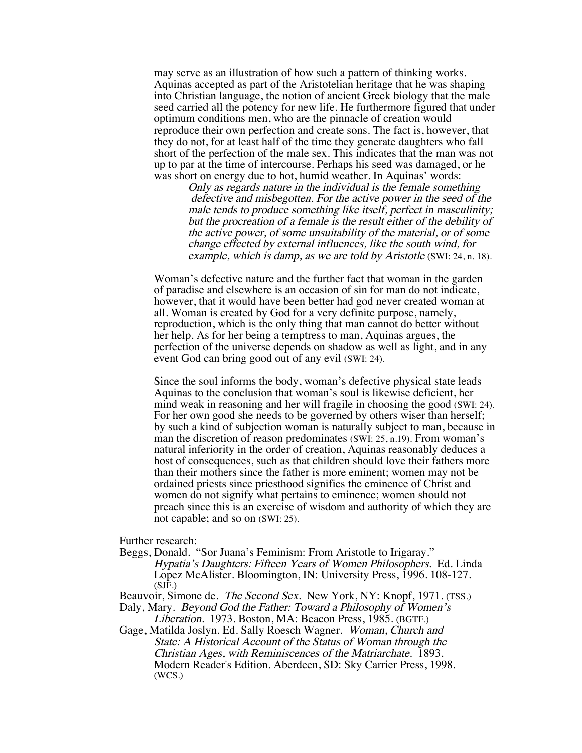may serve as an illustration of how such a pattern of thinking works. Aquinas accepted as part of the Aristotelian heritage that he was shaping into Christian language, the notion of ancient Greek biology that the male seed carried all the potency for new life. He furthermore figured that under optimum conditions men, who are the pinnacle of creation would reproduce their own perfection and create sons. The fact is, however, that they do not, for at least half of the time they generate daughters who fall short of the perfection of the male sex. This indicates that the man was not up to par at the time of intercourse. Perhaps his seed was damaged, or he was short on energy due to hot, humid weather. In Aquinas' words:

> Only as regards nature in the individual is the female something defective and misbegotten. For the active power in the seed of the male tends to produce something like itself, perfect in masculinity; but the procreation of a female is the result either of the debility of the active power, of some unsuitability of the material, or of some change effected by external influences, like the south wind, for example, which is damp, as we are told by Aristotle (SWI: 24, n. 18).

Woman's defective nature and the further fact that woman in the garden of paradise and elsewhere is an occasion of sin for man do not indicate, however, that it would have been better had god never created woman at all. Woman is created by God for a very definite purpose, namely, reproduction, which is the only thing that man cannot do better without her help. As for her being a temptress to man, Aquinas argues, the perfection of the universe depends on shadow as well as light, and in any event God can bring good out of any evil (SWI: 24).

Since the soul informs the body, woman's defective physical state leads Aquinas to the conclusion that woman's soul is likewise deficient, her mind weak in reasoning and her will fragile in choosing the good (SWI: 24). For her own good she needs to be governed by others wiser than herself; by such a kind of subjection woman is naturally subject to man, because in man the discretion of reason predominates (SWI: 25, n.19). From woman's natural inferiority in the order of creation, Aquinas reasonably deduces a host of consequences, such as that children should love their fathers more than their mothers since the father is more eminent; women may not be ordained priests since priesthood signifies the eminence of Christ and women do not signify what pertains to eminence; women should not preach since this is an exercise of wisdom and authority of which they are not capable; and so on (SWI: 25).

Further research:

Beggs, Donald. "Sor Juana's Feminism: From Aristotle to Irigaray." Hypatia's Daughters: Fifteen Years of Women Philosophers. Ed. Linda Lopez McAlister. Bloomington, IN: University Press, 1996. 108-127.  $(SJF.)$ 

Beauvoir, Simone de. The Second Sex. New York, NY: Knopf, 1971. (TSS.)

Daly, Mary. Beyond God the Father: Toward a Philosophy of Women's Liberation. 1973. Boston, MA: Beacon Press, 1985. (BGTF.)

Gage, Matilda Joslyn. Ed. Sally Roesch Wagner. Woman, Church and State: A Historical Account of the Status of Woman through the Christian Ages, with Reminiscences of the Matriarchate. 1893. Modern Reader's Edition. Aberdeen, SD: Sky Carrier Press, 1998. (WCS.)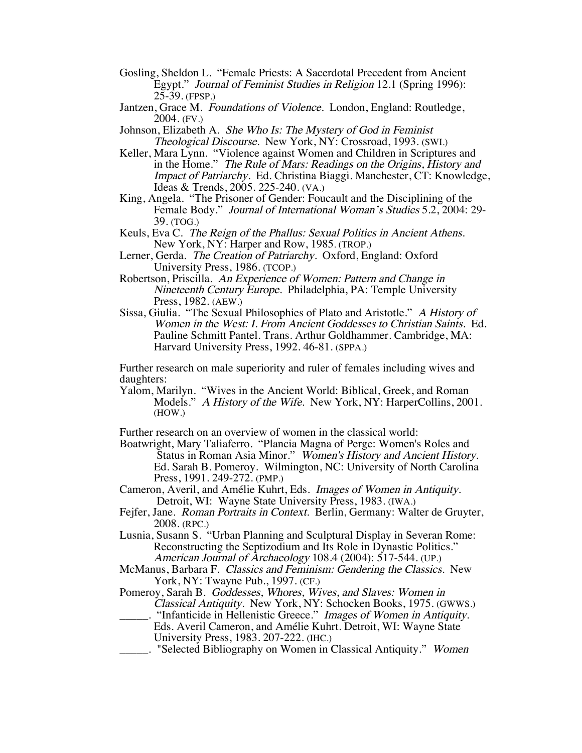- Gosling, Sheldon L. "Female Priests: A Sacerdotal Precedent from Ancient Egypt." Journal of Feminist Studies in Religion 12.1 (Spring 1996): 25-39. (FPSP.)
- Jantzen, Grace M. Foundations of Violence. London, England: Routledge, 2004. (FV.)
- Johnson, Elizabeth A. She Who Is: The Mystery of God in Feminist Theological Discourse. New York, NY: Crossroad, 1993. (SWI.)
- Keller, Mara Lynn. "Violence against Women and Children in Scriptures and in the Home." The Rule of Mars: Readings on the Origins, History and Impact of Patriarchy. Ed. Christina Biaggi. Manchester, CT: Knowledge, Ideas & Trends, 2005. 225-240. (VA.)
- King, Angela. "The Prisoner of Gender: Foucault and the Disciplining of the Female Body." Journal of International Woman's Studies 5.2, 2004: 29- 39. (TOG.)
- Keuls, Eva C. The Reign of the Phallus: Sexual Politics in Ancient Athens. New York, NY: Harper and Row, 1985. (TROP.)
- Lerner, Gerda. The Creation of Patriarchy. Oxford, England: Oxford University Press, 1986. (TCOP.)
- Robertson, Priscilla. An Experience of Women: Pattern and Change in Nineteenth Century Europe. Philadelphia, PA: Temple University Press, 1982. (AEW.)
- Sissa, Giulia. "The Sexual Philosophies of Plato and Aristotle." A History of Women in the West: I. From Ancient Goddesses to Christian Saints. Ed. Pauline Schmitt Pantel. Trans. Arthur Goldhammer. Cambridge, MA: Harvard University Press, 1992. 46-81. (SPPA.)

Further research on male superiority and ruler of females including wives and daughters:

Yalom, Marilyn. "Wives in the Ancient World: Biblical, Greek, and Roman Models." A History of the Wife. New York, NY: HarperCollins, 2001. (HOW.)

Further research on an overview of women in the classical world:

- Boatwright, Mary Taliaferro. "Plancia Magna of Perge: Women's Roles and Status in Roman Asia Minor." Women's History and Ancient History. Ed. Sarah B. Pomeroy. Wilmington, NC: University of North Carolina Press, 1991. 249-272. (PMP.)
- Cameron, Averil, and Amélie Kuhrt, Eds. Images of Women in Antiquity. Detroit, WI: Wayne State University Press, 1983. (IWA.)
- Fejfer, Jane. Roman Portraits in Context. Berlin, Germany: Walter de Gruyter, 2008. (RPC.)
- Lusnia, Susann S. "Urban Planning and Sculptural Display in Severan Rome: Reconstructing the Septizodium and Its Role in Dynastic Politics." American Journal of Archaeology 108.4 (2004): 517-544. (UP.)
- McManus, Barbara F. Classics and Feminism: Gendering the Classics. New York, NY: Twayne Pub., 1997. (CF.)
- Pomeroy, Sarah B. Goddesses, Whores, Wives, and Slaves: Women in Classical Antiquity. New York, NY: Schocken Books, 1975. (GWWS.)
	- \_\_\_\_\_. "Infanticide in Hellenistic Greece." Images of Women in Antiquity. Eds. Averil Cameron, and Amélie Kuhrt. Detroit, WI: Wayne State University Press, 1983. 207-222. (IHC.)
	- **EXECT**. "Selected Bibliography on Women in Classical Antiquity." *Women*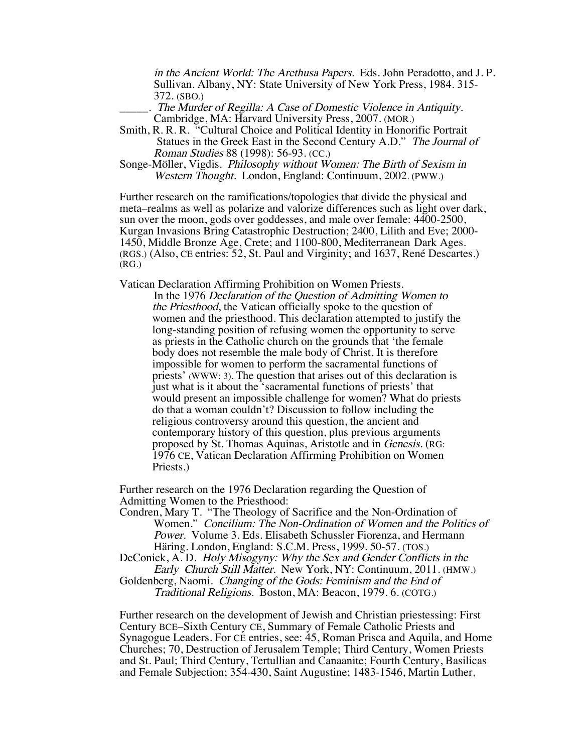in the Ancient World: The Arethusa Papers. Eds. John Peradotto, and J. P. Sullivan. Albany, NY: State University of New York Press, 1984. 315- 372. (SBO.)

The Murder of Regilla: A Case of Domestic Violence in Antiquity. Cambridge, MA: Harvard University Press, 2007. (MOR.)

Smith, R. R. R. "Cultural Choice and Political Identity in Honorific Portrait Statues in the Greek East in the Second Century A.D." The Journal of Roman Studies 88 (1998): 56-93. (CC.)

Songe-Möller, Vigdis. Philosophy without Women: The Birth of Sexism in Western Thought. London, England: Continuum, 2002. (PWW.)

Further research on the ramifications/topologies that divide the physical and meta–realms as well as polarize and valorize differences such as light over dark, sun over the moon, gods over goddesses, and male over female: 4400-2500, Kurgan Invasions Bring Catastrophic Destruction; 2400, Lilith and Eve; 2000- 1450, Middle Bronze Age, Crete; and 1100-800, Mediterranean Dark Ages. (RGS.) (Also, CE entries: 52, St. Paul and Virginity; and 1637, René Descartes.) (RG.)

Vatican Declaration Affirming Prohibition on Women Priests.

In the 1976 Declaration of the Question of Admitting Women to the Priesthood, the Vatican officially spoke to the question of women and the priesthood. This declaration attempted to justify the long-standing position of refusing women the opportunity to serve as priests in the Catholic church on the grounds that 'the female body does not resemble the male body of Christ. It is therefore impossible for women to perform the sacramental functions of priests' (WWW: 3). The question that arises out of this declaration is just what is it about the 'sacramental functions of priests' that would present an impossible challenge for women? What do priests do that a woman couldn't? Discussion to follow including the religious controversy around this question, the ancient and contemporary history of this question, plus previous arguments proposed by St. Thomas Aquinas, Aristotle and in Genesis. (RG: 1976 CE, Vatican Declaration Affirming Prohibition on Women Priests.)

Further research on the 1976 Declaration regarding the Question of Admitting Women to the Priesthood:

Condren, Mary T. "The Theology of Sacrifice and the Non-Ordination of Women." Concilium: The Non-Ordination of Women and the Politics of Power. Volume 3. Eds. Elisabeth Schussler Fiorenza, and Hermann Häring. London, England: S.C.M. Press, 1999. 50-57. (TOS.)

DeConick, A. D. Holy Misogyny: Why the Sex and Gender Conflicts in the Early Church Still Matter. New York, NY: Continuum, 2011. (HMW.)

Goldenberg, Naomi. Changing of the Gods: Feminism and the End of Traditional Religions. Boston, MA: Beacon, 1979. 6. (COTG.)

Further research on the development of Jewish and Christian priestessing: First Century BCE–Sixth Century CE, Summary of Female Catholic Priests and Synagogue Leaders. For CE entries, see: 45, Roman Prisca and Aquila, and Home Churches; 70, Destruction of Jerusalem Temple; Third Century, Women Priests and St. Paul; Third Century, Tertullian and Canaanite; Fourth Century, Basilicas and Female Subjection; 354-430, Saint Augustine; 1483-1546, Martin Luther,